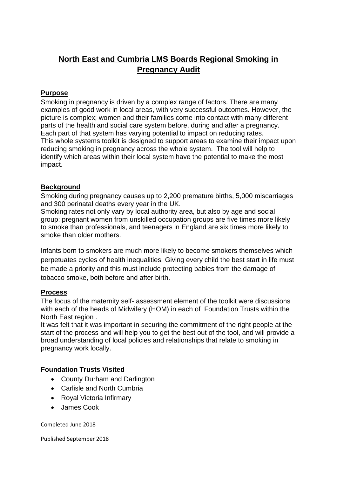# **North East and Cumbria LMS Boards Regional Smoking in Pregnancy Audit**

#### **Purpose**

Smoking in pregnancy is driven by a complex range of factors. There are many examples of good work in local areas, with very successful outcomes. However, the picture is complex; women and their families come into contact with many different parts of the health and social care system before, during and after a pregnancy. Each part of that system has varying potential to impact on reducing rates. This whole systems toolkit is designed to support areas to examine their impact upon reducing smoking in pregnancy across the whole system. The tool will help to identify which areas within their local system have the potential to make the most impact.

#### **Background**

Smoking during pregnancy causes up to 2,200 premature births, 5,000 miscarriages and 300 perinatal deaths every year in the UK.

Smoking rates not only vary by local authority area, but also by age and social group: pregnant women from unskilled occupation groups are five times more likely to smoke than professionals, and teenagers in England are six times more likely to smoke than older mothers.

Infants born to smokers are much more likely to become smokers themselves which perpetuates cycles of health inequalities. Giving every child the best start in life must be made a priority and this must include protecting babies from the damage of tobacco smoke, both before and after birth.

#### **Process**

The focus of the maternity self- assessment element of the toolkit were discussions with each of the heads of Midwifery (HOM) in each of Foundation Trusts within the North East region .

It was felt that it was important in securing the commitment of the right people at the start of the process and will help you to get the best out of the tool, and will provide a broad understanding of local policies and relationships that relate to smoking in pregnancy work locally.

### **Foundation Trusts Visited**

- County Durham and Darlington
- Carlisle and North Cumbria
- Royal Victoria Infirmary
- James Cook

Completed June 2018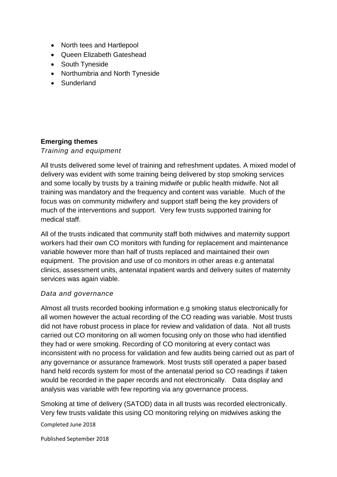- North tees and Hartlepool
- Queen Elizabeth Gateshead
- South Tyneside
- Northumbria and North Tyneside
- Sunderland

## **Emerging themes**

*Training and equipment* 

All trusts delivered some level of training and refreshment updates. A mixed model of delivery was evident with some training being delivered by stop smoking services and some locally by trusts by a training midwife or public health midwife. Not all training was mandatory and the frequency and content was variable. Much of the focus was on community midwifery and support staff being the key providers of much of the interventions and support. Very few trusts supported training for medical staff.

All of the trusts indicated that community staff both midwives and maternity support workers had their own CO monitors with funding for replacement and maintenance variable however more than half of trusts replaced and maintained their own equipment. The provision and use of co monitors in other areas e.g antenatal clinics, assessment units, antenatal inpatient wards and delivery suites of maternity services was again viable.

### *Data and governance*

Almost all trusts recorded booking information e.g smoking status electronically for all women however the actual recording of the CO reading was variable. Most trusts did not have robust process in place for review and validation of data. Not all trusts carried out CO monitoring on all women focusing only on those who had identified they had or were smoking. Recording of CO monitoring at every contact was inconsistent with no process for validation and few audits being carried out as part of any governance or assurance framework. Most trusts still operated a paper based hand held records system for most of the antenatal period so CO readings if taken would be recorded in the paper records and not electronically. Data display and analysis was variable with few reporting via any governance process.

Smoking at time of delivery (SATOD) data in all trusts was recorded electronically. Very few trusts validate this using CO monitoring relying on midwives asking the

Completed June 2018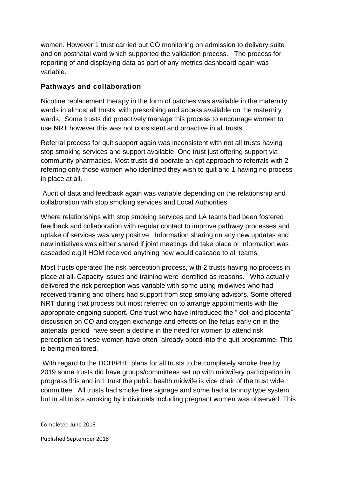women. However 1 trust carried out CO monitoring on admission to delivery suite and on postnatal ward which supported the validation process. The process for reporting of and displaying data as part of any metrics dashboard again was variable.

### **Pathways and collaboration**

Nicotine replacement therapy in the form of patches was available in the maternity wards in almost all trusts, with prescribing and access available on the maternity wards. Some trusts did proactively manage this process to encourage women to use NRT however this was not consistent and proactive in all trusts.

Referral process for quit support again was inconsistent with not all trusts having stop smoking services and support available. One trust just offering support via community pharmacies. Most trusts did operate an opt approach to referrals with 2 referring only those women who identified they wish to quit and 1 having no process in place at all.

Audit of data and feedback again was variable depending on the relationship and collaboration with stop smoking services and Local Authorities.

Where relationships with stop smoking services and LA teams had been fostered feedback and collaboration with regular contact to improve pathway processes and uptake of services was very positive. Information sharing on any new updates and new initiatives was either shared if joint meetings did take place or information was cascaded e.g if HOM received anything new would cascade to all teams.

Most trusts operated the risk perception process, with 2 trusts having no process in place at all. Capacity issues and training were identified as reasons. Who actually delivered the risk perception was variable with some using midwives who had received training and others had support from stop smoking advisors. Some offered NRT during that process but most referred on to arrange appointments with the appropriate ongoing support. One trust who have introduced the " doll and placenta" discussion on CO and oxygen exchange and effects on the fetus early on in the antenatal period have seen a decline in the need for women to attend risk perception as these women have often already opted into the quit programme. This is being monitored.

With regard to the DOH/PHE plans for all trusts to be completely smoke free by 2019 some trusts did have groups/committees set up with midwifery participation in progress this and in 1 trust the public health midwife is vice chair of the trust wide committee. All trusts had smoke free signage and some had a tannoy type system but in all trusts smoking by individuals including pregnant women was observed. This

Completed June 2018